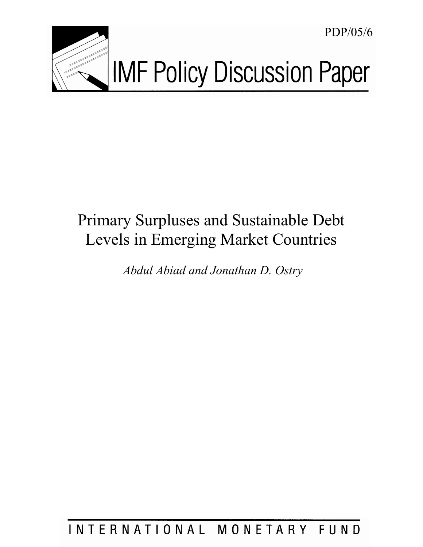

PDP/05/6

# Primary Surpluses and Sustainable Debt Levels in Emerging Market Countries

 *Abdul Abiad and Jonathan D. Ostry* 

## INTERNATIONAL MONETARY FUND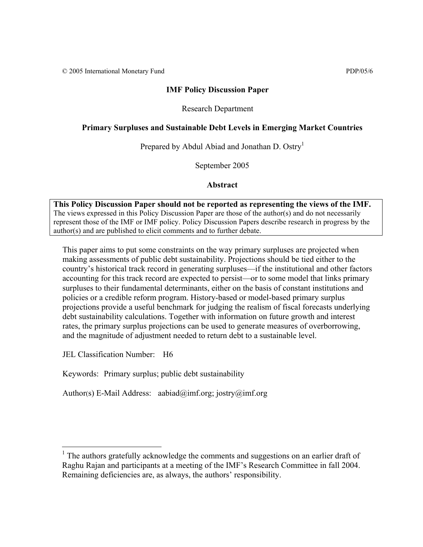© 2005 International Monetary Fund PDP/05/6

#### **IMF Policy Discussion Paper**

#### Research Department

#### **Primary Surpluses and Sustainable Debt Levels in Emerging Market Countries**

Prepared by Abdul Abiad and Jonathan D. Ostry<sup>1</sup>

September 2005

**Abstract**

**This Policy Discussion Paper should not be reported as representing the views of the IMF.** The views expressed in this Policy Discussion Paper are those of the author(s) and do not necessarily represent those of the IMF or IMF policy. Policy Discussion Papers describe research in progress by the author(s) and are published to elicit comments and to further debate.

This paper aims to put some constraints on the way primary surpluses are projected when making assessments of public debt sustainability. Projections should be tied either to the country's historical track record in generating surpluses—if the institutional and other factors accounting for this track record are expected to persist—or to some model that links primary surpluses to their fundamental determinants, either on the basis of constant institutions and policies or a credible reform program. History-based or model-based primary surplus projections provide a useful benchmark for judging the realism of fiscal forecasts underlying debt sustainability calculations. Together with information on future growth and interest rates, the primary surplus projections can be used to generate measures of overborrowing, and the magnitude of adjustment needed to return debt to a sustainable level.

JEL Classification Number: H6

Keywords: Primary surplus; public debt sustainability

Author(s) E-Mail Address: aabiad@imf.org; jostry@imf.org

<sup>&</sup>lt;sup>1</sup> The authors gratefully acknowledge the comments and suggestions on an earlier draft of Raghu Rajan and participants at a meeting of the IMF's Research Committee in fall 2004. Remaining deficiencies are, as always, the authors' responsibility.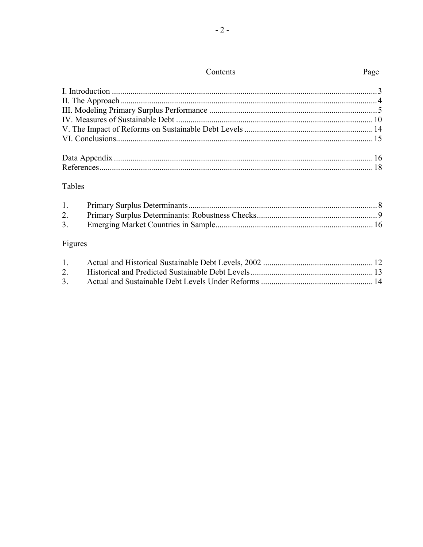### Tables

| 3. |  |
|----|--|

## Figures

| $1 \quad$ |  |
|-----------|--|
|           |  |
| 3.        |  |

## Page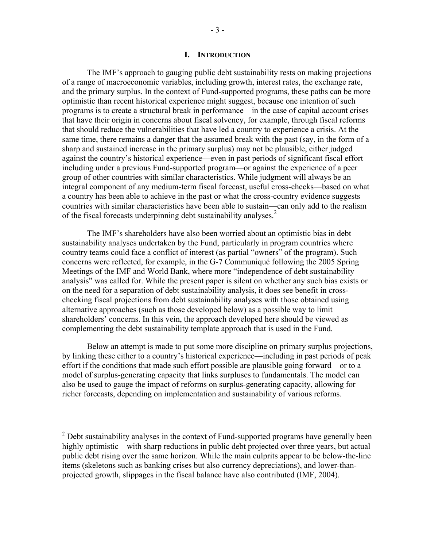#### **I. INTRODUCTION**

The IMF's approach to gauging public debt sustainability rests on making projections of a range of macroeconomic variables, including growth, interest rates, the exchange rate, and the primary surplus. In the context of Fund-supported programs, these paths can be more optimistic than recent historical experience might suggest, because one intention of such programs is to create a structural break in performance—in the case of capital account crises that have their origin in concerns about fiscal solvency, for example, through fiscal reforms that should reduce the vulnerabilities that have led a country to experience a crisis. At the same time, there remains a danger that the assumed break with the past (say, in the form of a sharp and sustained increase in the primary surplus) may not be plausible, either judged against the country's historical experience—even in past periods of significant fiscal effort including under a previous Fund-supported program—or against the experience of a peer group of other countries with similar characteristics. While judgment will always be an integral component of any medium-term fiscal forecast, useful cross-checks—based on what a country has been able to achieve in the past or what the cross-country evidence suggests countries with similar characteristics have been able to sustain—can only add to the realism of the fiscal forecasts underpinning debt sustainability analyses.<sup>2</sup>

The IMF's shareholders have also been worried about an optimistic bias in debt sustainability analyses undertaken by the Fund, particularly in program countries where country teams could face a conflict of interest (as partial "owners" of the program). Such concerns were reflected, for example, in the G-7 Communiqué following the 2005 Spring Meetings of the IMF and World Bank, where more "independence of debt sustainability analysis" was called for. While the present paper is silent on whether any such bias exists or on the need for a separation of debt sustainability analysis, it does see benefit in crosschecking fiscal projections from debt sustainability analyses with those obtained using alternative approaches (such as those developed below) as a possible way to limit shareholders' concerns. In this vein, the approach developed here should be viewed as complementing the debt sustainability template approach that is used in the Fund.

 Below an attempt is made to put some more discipline on primary surplus projections, by linking these either to a country's historical experience—including in past periods of peak effort if the conditions that made such effort possible are plausible going forward—or to a model of surplus-generating capacity that links surpluses to fundamentals. The model can also be used to gauge the impact of reforms on surplus-generating capacity, allowing for richer forecasts, depending on implementation and sustainability of various reforms.

 $\overline{a}$ 

 $2^{2}$  Debt sustainability analyses in the context of Fund-supported programs have generally been highly optimistic—with sharp reductions in public debt projected over three years, but actual public debt rising over the same horizon. While the main culprits appear to be below-the-line items (skeletons such as banking crises but also currency depreciations), and lower-thanprojected growth, slippages in the fiscal balance have also contributed (IMF, 2004).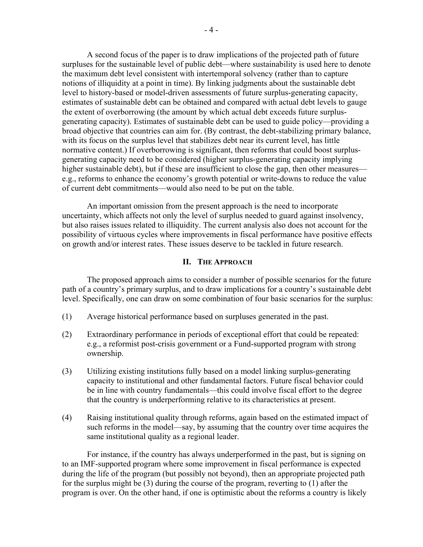A second focus of the paper is to draw implications of the projected path of future surpluses for the sustainable level of public debt—where sustainability is used here to denote the maximum debt level consistent with intertemporal solvency (rather than to capture notions of illiquidity at a point in time). By linking judgments about the sustainable debt level to history-based or model-driven assessments of future surplus-generating capacity, estimates of sustainable debt can be obtained and compared with actual debt levels to gauge the extent of overborrowing (the amount by which actual debt exceeds future surplusgenerating capacity). Estimates of sustainable debt can be used to guide policy—providing a broad objective that countries can aim for. (By contrast, the debt-stabilizing primary balance, with its focus on the surplus level that stabilizes debt near its current level, has little normative content.) If overborrowing is significant, then reforms that could boost surplusgenerating capacity need to be considered (higher surplus-generating capacity implying higher sustainable debt), but if these are insufficient to close the gap, then other measures e.g., reforms to enhance the economy's growth potential or write-downs to reduce the value of current debt commitments—would also need to be put on the table.

 An important omission from the present approach is the need to incorporate uncertainty, which affects not only the level of surplus needed to guard against insolvency, but also raises issues related to illiquidity. The current analysis also does not account for the possibility of virtuous cycles where improvements in fiscal performance have positive effects on growth and/or interest rates. These issues deserve to be tackled in future research.

#### **II. THE APPROACH**

 The proposed approach aims to consider a number of possible scenarios for the future path of a country's primary surplus, and to draw implications for a country's sustainable debt level. Specifically, one can draw on some combination of four basic scenarios for the surplus:

- (1) Average historical performance based on surpluses generated in the past.
- (2) Extraordinary performance in periods of exceptional effort that could be repeated: e.g., a reformist post-crisis government or a Fund-supported program with strong ownership.
- (3) Utilizing existing institutions fully based on a model linking surplus-generating capacity to institutional and other fundamental factors. Future fiscal behavior could be in line with country fundamentals—this could involve fiscal effort to the degree that the country is underperforming relative to its characteristics at present.
- (4) Raising institutional quality through reforms, again based on the estimated impact of such reforms in the model—say, by assuming that the country over time acquires the same institutional quality as a regional leader.

 For instance, if the country has always underperformed in the past, but is signing on to an IMF-supported program where some improvement in fiscal performance is expected during the life of the program (but possibly not beyond), then an appropriate projected path for the surplus might be (3) during the course of the program, reverting to (1) after the program is over. On the other hand, if one is optimistic about the reforms a country is likely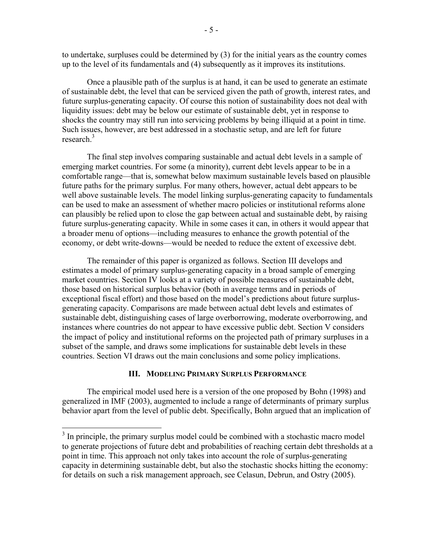to undertake, surpluses could be determined by (3) for the initial years as the country comes up to the level of its fundamentals and (4) subsequently as it improves its institutions.

 Once a plausible path of the surplus is at hand, it can be used to generate an estimate of sustainable debt, the level that can be serviced given the path of growth, interest rates, and future surplus-generating capacity. Of course this notion of sustainability does not deal with liquidity issues: debt may be below our estimate of sustainable debt, yet in response to shocks the country may still run into servicing problems by being illiquid at a point in time. Such issues, however, are best addressed in a stochastic setup, and are left for future research.<sup>3</sup>

 The final step involves comparing sustainable and actual debt levels in a sample of emerging market countries. For some (a minority), current debt levels appear to be in a comfortable range—that is, somewhat below maximum sustainable levels based on plausible future paths for the primary surplus. For many others, however, actual debt appears to be well above sustainable levels. The model linking surplus-generating capacity to fundamentals can be used to make an assessment of whether macro policies or institutional reforms alone can plausibly be relied upon to close the gap between actual and sustainable debt, by raising future surplus-generating capacity. While in some cases it can, in others it would appear that a broader menu of options—including measures to enhance the growth potential of the economy, or debt write-downs—would be needed to reduce the extent of excessive debt.

 The remainder of this paper is organized as follows. Section III develops and estimates a model of primary surplus-generating capacity in a broad sample of emerging market countries. Section IV looks at a variety of possible measures of sustainable debt, those based on historical surplus behavior (both in average terms and in periods of exceptional fiscal effort) and those based on the model's predictions about future surplusgenerating capacity. Comparisons are made between actual debt levels and estimates of sustainable debt, distinguishing cases of large overborrowing, moderate overborrowing, and instances where countries do not appear to have excessive public debt. Section V considers the impact of policy and institutional reforms on the projected path of primary surpluses in a subset of the sample, and draws some implications for sustainable debt levels in these countries. Section VI draws out the main conclusions and some policy implications.

#### **III. MODELING PRIMARY SURPLUS PERFORMANCE**

The empirical model used here is a version of the one proposed by Bohn (1998) and generalized in IMF (2003), augmented to include a range of determinants of primary surplus behavior apart from the level of public debt. Specifically, Bohn argued that an implication of

<u>.</u>

 $3$  In principle, the primary surplus model could be combined with a stochastic macro model to generate projections of future debt and probabilities of reaching certain debt thresholds at a point in time. This approach not only takes into account the role of surplus-generating capacity in determining sustainable debt, but also the stochastic shocks hitting the economy: for details on such a risk management approach, see Celasun, Debrun, and Ostry (2005).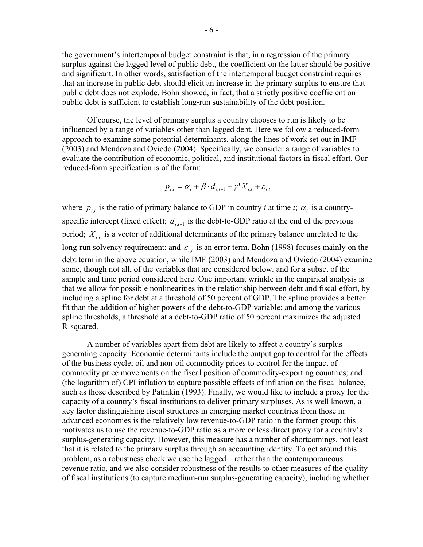the government's intertemporal budget constraint is that, in a regression of the primary surplus against the lagged level of public debt, the coefficient on the latter should be positive and significant. In other words, satisfaction of the intertemporal budget constraint requires that an increase in public debt should elicit an increase in the primary surplus to ensure that public debt does not explode. Bohn showed, in fact, that a strictly positive coefficient on public debt is sufficient to establish long-run sustainability of the debt position.

Of course, the level of primary surplus a country chooses to run is likely to be influenced by a range of variables other than lagged debt. Here we follow a reduced-form approach to examine some potential determinants, along the lines of work set out in IMF (2003) and Mendoza and Oviedo (2004). Specifically, we consider a range of variables to evaluate the contribution of economic, political, and institutional factors in fiscal effort. Our reduced-form specification is of the form:

$$
p_{i,t} = \alpha_i + \beta \cdot d_{i,t-1} + \gamma' X_{i,t} + \varepsilon_{i,t}
$$

where  $p_{i,t}$  is the ratio of primary balance to GDP in country *i* at time *t*;  $\alpha_i$  is a countryspecific intercept (fixed effect);  $d_{i,t-1}$  is the debt-to-GDP ratio at the end of the previous period; *Xi*,*t* is a vector of additional determinants of the primary balance unrelated to the long-run solvency requirement; and  $\varepsilon_{i,t}$  is an error term. Bohn (1998) focuses mainly on the debt term in the above equation, while IMF (2003) and Mendoza and Oviedo (2004) examine some, though not all, of the variables that are considered below, and for a subset of the sample and time period considered here. One important wrinkle in the empirical analysis is that we allow for possible nonlinearities in the relationship between debt and fiscal effort, by including a spline for debt at a threshold of 50 percent of GDP. The spline provides a better fit than the addition of higher powers of the debt-to-GDP variable; and among the various spline thresholds, a threshold at a debt-to-GDP ratio of 50 percent maximizes the adjusted R-squared.

A number of variables apart from debt are likely to affect a country's surplusgenerating capacity. Economic determinants include the output gap to control for the effects of the business cycle; oil and non-oil commodity prices to control for the impact of commodity price movements on the fiscal position of commodity-exporting countries; and (the logarithm of) CPI inflation to capture possible effects of inflation on the fiscal balance, such as those described by Patinkin (1993). Finally, we would like to include a proxy for the capacity of a country's fiscal institutions to deliver primary surpluses. As is well known, a key factor distinguishing fiscal structures in emerging market countries from those in advanced economies is the relatively low revenue-to-GDP ratio in the former group; this motivates us to use the revenue-to-GDP ratio as a more or less direct proxy for a country's surplus-generating capacity. However, this measure has a number of shortcomings, not least that it is related to the primary surplus through an accounting identity. To get around this problem, as a robustness check we use the lagged—rather than the contemporaneous revenue ratio, and we also consider robustness of the results to other measures of the quality of fiscal institutions (to capture medium-run surplus-generating capacity), including whether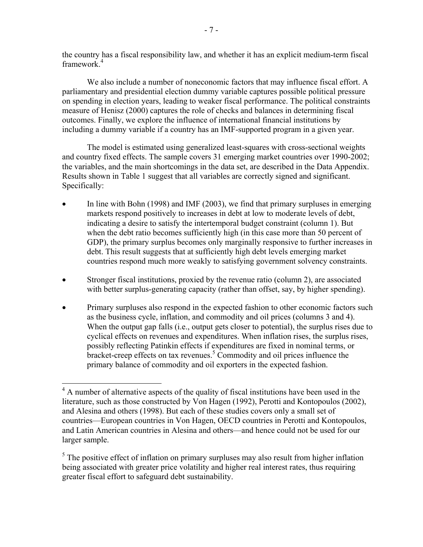the country has a fiscal responsibility law, and whether it has an explicit medium-term fiscal framework $4$ 

 We also include a number of noneconomic factors that may influence fiscal effort. A parliamentary and presidential election dummy variable captures possible political pressure on spending in election years, leading to weaker fiscal performance. The political constraints measure of Henisz (2000) captures the role of checks and balances in determining fiscal outcomes. Finally, we explore the influence of international financial institutions by including a dummy variable if a country has an IMF-supported program in a given year.

The model is estimated using generalized least-squares with cross-sectional weights and country fixed effects. The sample covers 31 emerging market countries over 1990-2002; the variables, and the main shortcomings in the data set, are described in the Data Appendix. Results shown in Table 1 suggest that all variables are correctly signed and significant. Specifically:

- In line with Bohn (1998) and IMF (2003), we find that primary surpluses in emerging markets respond positively to increases in debt at low to moderate levels of debt, indicating a desire to satisfy the intertemporal budget constraint (column 1). But when the debt ratio becomes sufficiently high (in this case more than 50 percent of GDP), the primary surplus becomes only marginally responsive to further increases in debt. This result suggests that at sufficiently high debt levels emerging market countries respond much more weakly to satisfying government solvency constraints.
- Stronger fiscal institutions, proxied by the revenue ratio (column 2), are associated with better surplus-generating capacity (rather than offset, say, by higher spending).
- Primary surpluses also respond in the expected fashion to other economic factors such as the business cycle, inflation, and commodity and oil prices (columns 3 and 4). When the output gap falls (i.e., output gets closer to potential), the surplus rises due to cyclical effects on revenues and expenditures. When inflation rises, the surplus rises, possibly reflecting Patinkin effects if expenditures are fixed in nominal terms, or  $b$ racket-creep effects on tax revenues.<sup>5</sup> Commodity and oil prices influence the primary balance of commodity and oil exporters in the expected fashion.

 $\overline{a}$ <sup>4</sup> A number of alternative aspects of the quality of fiscal institutions have been used in the literature, such as those constructed by Von Hagen (1992), Perotti and Kontopoulos (2002), and Alesina and others (1998). But each of these studies covers only a small set of countries—European countries in Von Hagen, OECD countries in Perotti and Kontopoulos, and Latin American countries in Alesina and others—and hence could not be used for our larger sample.

 $<sup>5</sup>$  The positive effect of inflation on primary surpluses may also result from higher inflation</sup> being associated with greater price volatility and higher real interest rates, thus requiring greater fiscal effort to safeguard debt sustainability.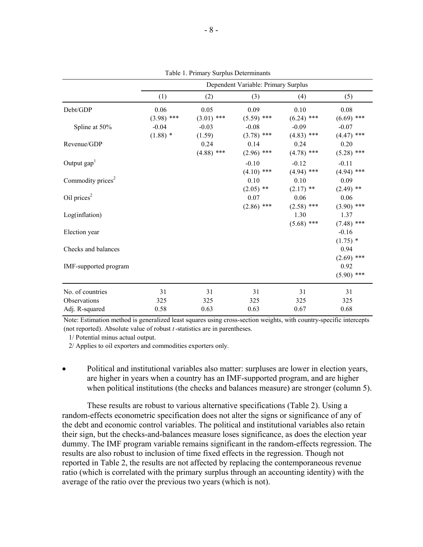|                               | Dependent Variable: Primary Surplus |              |              |              |              |
|-------------------------------|-------------------------------------|--------------|--------------|--------------|--------------|
|                               | (1)                                 | (2)          | (3)          | (4)          | (5)          |
| Debt/GDP                      | 0.06                                | 0.05         | 0.09         | 0.10         | 0.08         |
|                               | $(3.98)$ ***                        | $(3.01)$ *** | $(5.59)$ *** | $(6.24)$ *** | $(6.69)$ *** |
| Spline at 50%                 | $-0.04$                             | $-0.03$      | $-0.08$      | $-0.09$      | $-0.07$      |
|                               | $(1.88)$ *                          | (1.59)       | $(3.78)$ *** | $(4.83)$ *** | $(4.47)$ *** |
| Revenue/GDP                   |                                     | 0.24         | 0.14         | 0.24         | 0.20         |
|                               |                                     | $(4.88)$ *** | $(2.96)$ *** | $(4.78)$ *** | $(5.28)$ *** |
| Output $\text{gap}^1$         |                                     |              | $-0.10$      | $-0.12$      | $-0.11$      |
|                               |                                     |              | $(4.10)$ *** | $(4.94)$ *** | $(4.94)$ *** |
| Commodity prices <sup>2</sup> |                                     |              | 0.10         | 0.10         | 0.09         |
|                               |                                     |              | $(2.05)$ **  | $(2.17)$ **  | $(2.49)$ **  |
| Oil prices $2$                |                                     |              | 0.07         | 0.06         | 0.06         |
|                               |                                     |              | $(2.86)$ *** | $(2.58)$ *** | $(3.90)$ *** |
| Log(inflation)                |                                     |              |              | 1.30         | 1.37         |
|                               |                                     |              |              | $(5.68)$ *** | $(7.48)$ *** |
| Election year                 |                                     |              |              |              | $-0.16$      |
|                               |                                     |              |              |              | $(1.75)$ *   |
| Checks and balances           |                                     |              |              |              | 0.94         |
|                               |                                     |              |              |              | $(2.69)$ *** |
| IMF-supported program         |                                     |              |              |              | 0.92         |
|                               |                                     |              |              |              | $(5.90)$ *** |
| No. of countries              | 31                                  | 31           | 31           | 31           | 31           |
| Observations                  | 325                                 | 325          | 325          | 325          | 325          |
| Adj. R-squared                | 0.58                                | 0.63         | 0.63         | 0.67         | 0.68         |

Table 1. Primary Surplus Determinants

Note: Estimation method is generalized least squares using cross-section weights, with country-specific intercepts (not reported). Absolute value of robust *t* -statistics are in parentheses.

1/ Potential minus actual output.

2/ Applies to oil exporters and commodities exporters only.

• Political and institutional variables also matter: surpluses are lower in election years, are higher in years when a country has an IMF-supported program, and are higher when political institutions (the checks and balances measure) are stronger (column 5).

These results are robust to various alternative specifications (Table 2). Using a random-effects econometric specification does not alter the signs or significance of any of the debt and economic control variables. The political and institutional variables also retain their sign, but the checks-and-balances measure loses significance, as does the election year dummy. The IMF program variable remains significant in the random-effects regression. The results are also robust to inclusion of time fixed effects in the regression. Though not reported in Table 2, the results are not affected by replacing the contemporaneous revenue ratio (which is correlated with the primary surplus through an accounting identity) with the average of the ratio over the previous two years (which is not).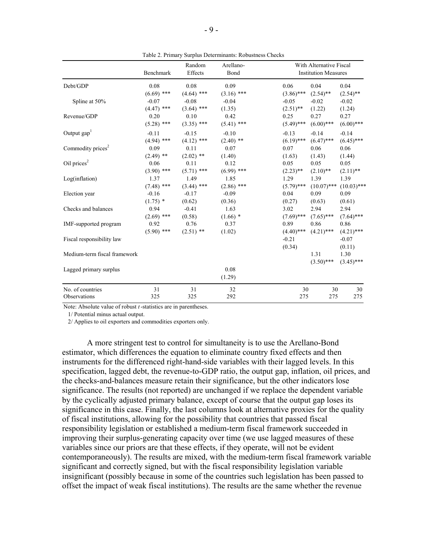|                               | Benchmark    | Random<br>Effects | Arellano-<br>Bond |              | With Alternative Fiscal<br><b>Institution Measures</b> |               |
|-------------------------------|--------------|-------------------|-------------------|--------------|--------------------------------------------------------|---------------|
| Debt/GDP                      | 0.08         | 0.08              | 0.09              | 0.06         | 0.04                                                   | 0.04          |
|                               | $(6.69)$ *** | $(4.64)$ ***      | $(3.16)$ ***      | $(3.86)$ *** | $(2.54)$ **                                            | $(2.54)$ **   |
| Spline at 50%                 | $-0.07$      | $-0.08$           | $-0.04$           | $-0.05$      | $-0.02$                                                | $-0.02$       |
|                               | $(4.47)$ *** | $(3.64)$ ***      | (1.35)            | $(2.51)$ **  | (1.22)                                                 | (1.24)        |
| Revenue/GDP                   | 0.20         | 0.10              | 0.42              | 0.25         | 0.27                                                   | 0.27          |
|                               | $(5.28)$ *** | $(3.35)$ ***      | $(5.41)$ ***      | $(5.49)$ *** | $(6.00)$ ***                                           | $(6.00)$ ***  |
| Output $\text{gap}^1$         | $-0.11$      | $-0.15$           | $-0.10$           | $-0.13$      | $-0.14$                                                | $-0.14$       |
|                               | $(4.94)$ *** | $(4.12)$ ***      | $(2.40)$ **       | $(6.19)$ *** | $(6.47)$ ***                                           | $(6.45)$ ***  |
| Commodity prices <sup>2</sup> | 0.09         | 0.11              | 0.07              | 0.07         | 0.06                                                   | 0.06          |
|                               | $(2.49)$ **  | $(2.02)$ **       | (1.40)            | (1.63)       | (1.43)                                                 | (1.44)        |
| Oil prices <sup>2</sup>       | 0.06         | 0.11              | 0.12              | 0.05         | 0.05                                                   | 0.05          |
|                               | $(3.90)$ *** | $(5.71)$ ***      | $(6.99)$ ***      | $(2.23)$ **  | $(2.10)$ **                                            | $(2.11)$ **   |
| Log(inflation)                | 1.37         | 1.49              | 1.85              | 1.29         | 1.39                                                   | 1.39          |
|                               | $(7.48)$ *** | $(3.44)$ ***      | $(2.86)$ ***      | $(5.79)$ *** | $(10.07)$ ***                                          | $(10.03)$ *** |
| Election year                 | $-0.16$      | $-0.17$           | $-0.09$           | 0.04         | 0.09                                                   | 0.09          |
|                               | $(1.75)$ *   | (0.62)            | (0.36)            | (0.27)       | (0.63)                                                 | (0.61)        |
| Checks and balances           | 0.94         | $-0.41$           | 1.63              | 3.02         | 2.94                                                   | 2.94          |
|                               | $(2.69)$ *** | (0.58)            | $(1.66)$ *        | $(7.69)$ *** | $(7.65)$ ***                                           | $(7.64)$ ***  |
| IMF-supported program         | 0.92         | 0.76              | 0.37              | 0.89         | 0.86                                                   | 0.86          |
|                               | $(5.90)$ *** | $(2.51)$ **       | (1.02)            | $(4.40)$ *** | $(4.21)$ ***                                           | $(4.21)$ ***  |
| Fiscal responsibility law     |              |                   |                   | $-0.21$      |                                                        | $-0.07$       |
|                               |              |                   |                   | (0.34)       |                                                        | (0.11)        |
| Medium-term fiscal framework  |              |                   |                   |              | 1.31                                                   | 1.30          |
|                               |              |                   |                   |              | $(3.50)$ ***                                           | $(3.45)$ ***  |
| Lagged primary surplus        |              |                   | 0.08              |              |                                                        |               |
|                               |              |                   | (1.29)            |              |                                                        |               |
| No. of countries              | 31           | 31                | 32                | 30           | 30                                                     | 30            |
| Observations                  | 325          | 325               | 292               | 275          | 275                                                    | 275           |

Table 2. Primary Surplus Determinants: Robustness Checks

Note: Absolute value of robust *t*-statistics are in parentheses.

1/ Potential minus actual output.

2/ Applies to oil exporters and commodities exporters only.

A more stringent test to control for simultaneity is to use the Arellano-Bond estimator, which differences the equation to eliminate country fixed effects and then instruments for the differenced right-hand-side variables with their lagged levels. In this specification, lagged debt, the revenue-to-GDP ratio, the output gap, inflation, oil prices, and the checks-and-balances measure retain their significance, but the other indicators lose significance. The results (not reported) are unchanged if we replace the dependent variable by the cyclically adjusted primary balance, except of course that the output gap loses its significance in this case. Finally, the last columns look at alternative proxies for the quality of fiscal institutions, allowing for the possibility that countries that passed fiscal responsibility legislation or established a medium-term fiscal framework succeeded in improving their surplus-generating capacity over time (we use lagged measures of these variables since our priors are that these effects, if they operate, will not be evident contemporaneously). The results are mixed, with the medium-term fiscal framework variable significant and correctly signed, but with the fiscal responsibility legislation variable insignificant (possibly because in some of the countries such legislation has been passed to offset the impact of weak fiscal institutions). The results are the same whether the revenue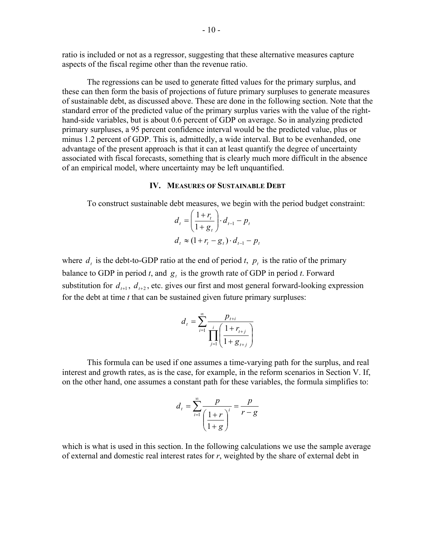ratio is included or not as a regressor, suggesting that these alternative measures capture aspects of the fiscal regime other than the revenue ratio.

 The regressions can be used to generate fitted values for the primary surplus, and these can then form the basis of projections of future primary surpluses to generate measures of sustainable debt, as discussed above. These are done in the following section. Note that the standard error of the predicted value of the primary surplus varies with the value of the righthand-side variables, but is about 0.6 percent of GDP on average. So in analyzing predicted primary surpluses, a 95 percent confidence interval would be the predicted value, plus or minus 1.2 percent of GDP. This is, admittedly, a wide interval. But to be evenhanded, one advantage of the present approach is that it can at least quantify the degree of uncertainty associated with fiscal forecasts, something that is clearly much more difficult in the absence of an empirical model, where uncertainty may be left unquantified.

#### **IV. MEASURES OF SUSTAINABLE DEBT**

To construct sustainable debt measures, we begin with the period budget constraint:

$$
d_{t} = \left(\frac{1+r_{t}}{1+g_{t}}\right) \cdot d_{t-1} - p_{t}
$$
  

$$
d_{t} \approx (1+r_{t} - g_{t}) \cdot d_{t-1} - p_{t}
$$

where  $d_t$  is the debt-to-GDP ratio at the end of period *t*,  $p_t$  is the ratio of the primary balance to GDP in period *t*, and  $g_t$  is the growth rate of GDP in period *t*. Forward substitution for  $d_{t+1}$ ,  $d_{t+2}$ , etc. gives our first and most general forward-looking expression for the debt at time *t* that can be sustained given future primary surpluses:

$$
d_{t} = \sum_{i=1}^{\infty} \frac{p_{t+i}}{\prod_{j=1}^{i} \left( \frac{1 + r_{t+j}}{1 + g_{t+j}} \right)}
$$

 This formula can be used if one assumes a time-varying path for the surplus, and real interest and growth rates, as is the case, for example, in the reform scenarios in Section V. If, on the other hand, one assumes a constant path for these variables, the formula simplifies to:

$$
d_t = \sum_{i=1}^{\infty} \frac{p}{\left(\frac{1+r}{1+g}\right)^i} = \frac{p}{r-g}
$$

which is what is used in this section. In the following calculations we use the sample average of external and domestic real interest rates for *r*, weighted by the share of external debt in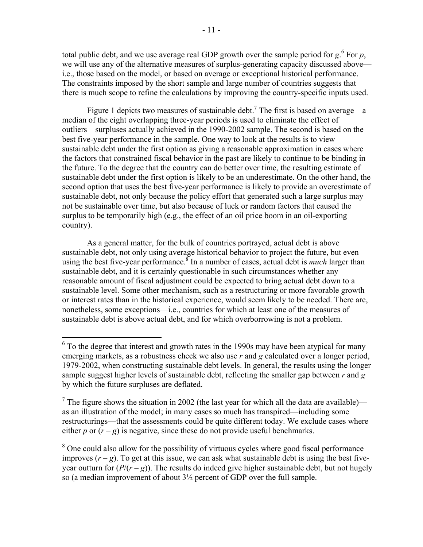total public debt, and we use average real GDP growth over the sample period for  $g<sup>6</sup>$ . For  $p$ , we will use any of the alternative measures of surplus-generating capacity discussed above i.e., those based on the model, or based on average or exceptional historical performance. The constraints imposed by the short sample and large number of countries suggests that there is much scope to refine the calculations by improving the country-specific inputs used.

Figure 1 depicts two measures of sustainable debt.<sup>7</sup> The first is based on average—a median of the eight overlapping three-year periods is used to eliminate the effect of outliers—surpluses actually achieved in the 1990-2002 sample. The second is based on the best five-year performance in the sample. One way to look at the results is to view sustainable debt under the first option as giving a reasonable approximation in cases where the factors that constrained fiscal behavior in the past are likely to continue to be binding in the future. To the degree that the country can do better over time, the resulting estimate of sustainable debt under the first option is likely to be an underestimate. On the other hand, the second option that uses the best five-year performance is likely to provide an overestimate of sustainable debt, not only because the policy effort that generated such a large surplus may not be sustainable over time, but also because of luck or random factors that caused the surplus to be temporarily high (e.g., the effect of an oil price boom in an oil-exporting country).

As a general matter, for the bulk of countries portrayed, actual debt is above sustainable debt, not only using average historical behavior to project the future, but even using the best five-year performance.<sup>8</sup> In a number of cases, actual debt is *much* larger than sustainable debt, and it is certainly questionable in such circumstances whether any reasonable amount of fiscal adjustment could be expected to bring actual debt down to a sustainable level. Some other mechanism, such as a restructuring or more favorable growth or interest rates than in the historical experience, would seem likely to be needed. There are, nonetheless, some exceptions—i.e., countries for which at least one of the measures of sustainable debt is above actual debt, and for which overborrowing is not a problem.

 $\overline{a}$ 

 $6$  To the degree that interest and growth rates in the 1990s may have been atypical for many emerging markets, as a robustness check we also use *r* and *g* calculated over a longer period, 1979-2002, when constructing sustainable debt levels. In general, the results using the longer sample suggest higher levels of sustainable debt, reflecting the smaller gap between *r* and *g* by which the future surpluses are deflated.

<sup>&</sup>lt;sup>7</sup> The figure shows the situation in 2002 (the last year for which all the data are available) as an illustration of the model; in many cases so much has transpired—including some restructurings—that the assessments could be quite different today. We exclude cases where either *p* or  $(r - g)$  is negative, since these do not provide useful benchmarks.

<sup>&</sup>lt;sup>8</sup> One could also allow for the possibility of virtuous cycles where good fiscal performance improves  $(r - g)$ . To get at this issue, we can ask what sustainable debt is using the best fiveyear outturn for  $(P/(r-g))$ . The results do indeed give higher sustainable debt, but not hugely so (a median improvement of about 3½ percent of GDP over the full sample.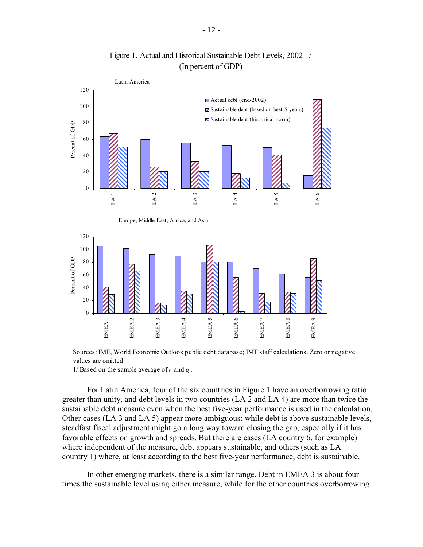

Figure 1. Actual and Historical Sustainable Debt Levels, 2002 1/ (In percent of GDP)

Sources: IMF, World Economic Outlook public debt database; IMF staff calculations. Zero or negative values are omitted.

1/ Based on the sample average of *r* and *g* .

For Latin America, four of the six countries in Figure 1 have an overborrowing ratio greater than unity, and debt levels in two countries (LA 2 and LA 4) are more than twice the sustainable debt measure even when the best five-year performance is used in the calculation. Other cases (LA 3 and LA 5) appear more ambiguous: while debt is above sustainable levels, steadfast fiscal adjustment might go a long way toward closing the gap, especially if it has favorable effects on growth and spreads. But there are cases (LA country 6, for example) where independent of the measure, debt appears sustainable, and others (such as LA country 1) where, at least according to the best five-year performance, debt is sustainable.

In other emerging markets, there is a similar range. Debt in EMEA 3 is about four times the sustainable level using either measure, while for the other countries overborrowing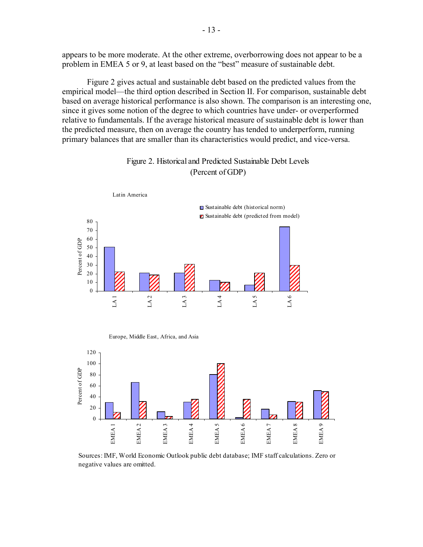appears to be more moderate. At the other extreme, overborrowing does not appear to be a problem in EMEA 5 or 9, at least based on the "best" measure of sustainable debt.

Figure 2 gives actual and sustainable debt based on the predicted values from the empirical model—the third option described in Section II. For comparison, sustainable debt based on average historical performance is also shown. The comparison is an interesting one, since it gives some notion of the degree to which countries have under- or overperformed relative to fundamentals. If the average historical measure of sustainable debt is lower than the predicted measure, then on average the country has tended to underperform, running primary balances that are smaller than its characteristics would predict, and vice-versa.



#### Figure 2. Historical and Predicted Sustainable Debt Levels (Percent of GDP)

Europe, Middle East, Africa, and Asia



Sources: IMF, World Economic Outlook public debt database; IMF staff calculations. Zero or negative values are omitted.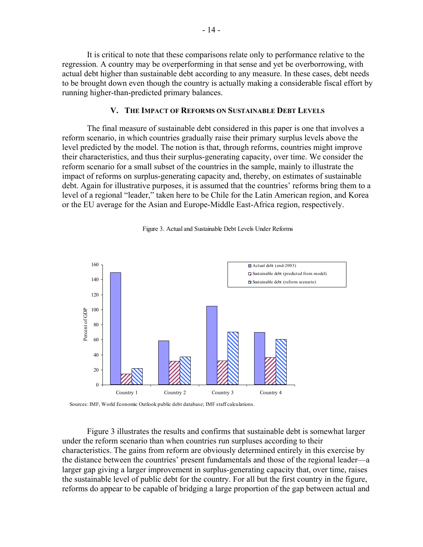It is critical to note that these comparisons relate only to performance relative to the regression. A country may be overperforming in that sense and yet be overborrowing, with actual debt higher than sustainable debt according to any measure. In these cases, debt needs to be brought down even though the country is actually making a considerable fiscal effort by running higher-than-predicted primary balances.

#### **V. THE IMPACT OF REFORMS ON SUSTAINABLE DEBT LEVELS**

 The final measure of sustainable debt considered in this paper is one that involves a reform scenario, in which countries gradually raise their primary surplus levels above the level predicted by the model. The notion is that, through reforms, countries might improve their characteristics, and thus their surplus-generating capacity, over time. We consider the reform scenario for a small subset of the countries in the sample, mainly to illustrate the impact of reforms on surplus-generating capacity and, thereby, on estimates of sustainable debt. Again for illustrative purposes, it is assumed that the countries' reforms bring them to a level of a regional "leader," taken here to be Chile for the Latin American region, and Korea or the EU average for the Asian and Europe-Middle East-Africa region, respectively.



#### Figure 3. Actual and Sustainable Debt Levels Under Reforms

Sources: IMF, World Economic Outlook public debt database; IMF staff calculations.

 Figure 3 illustrates the results and confirms that sustainable debt is somewhat larger under the reform scenario than when countries run surpluses according to their characteristics. The gains from reform are obviously determined entirely in this exercise by the distance between the countries' present fundamentals and those of the regional leader—a larger gap giving a larger improvement in surplus-generating capacity that, over time, raises the sustainable level of public debt for the country. For all but the first country in the figure, reforms do appear to be capable of bridging a large proportion of the gap between actual and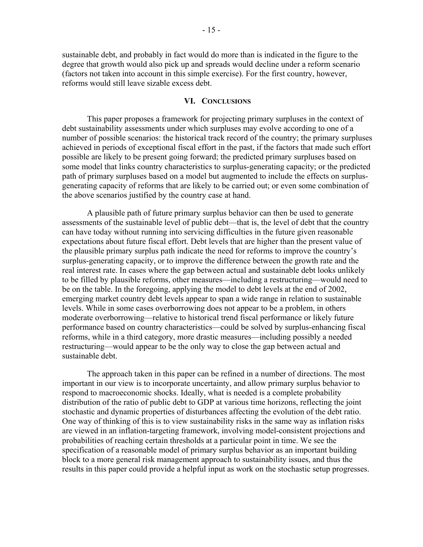sustainable debt, and probably in fact would do more than is indicated in the figure to the degree that growth would also pick up and spreads would decline under a reform scenario (factors not taken into account in this simple exercise). For the first country, however, reforms would still leave sizable excess debt.

#### **VI. CONCLUSIONS**

 This paper proposes a framework for projecting primary surpluses in the context of debt sustainability assessments under which surpluses may evolve according to one of a number of possible scenarios: the historical track record of the country; the primary surpluses achieved in periods of exceptional fiscal effort in the past, if the factors that made such effort possible are likely to be present going forward; the predicted primary surpluses based on some model that links country characteristics to surplus-generating capacity; or the predicted path of primary surpluses based on a model but augmented to include the effects on surplusgenerating capacity of reforms that are likely to be carried out; or even some combination of the above scenarios justified by the country case at hand.

 A plausible path of future primary surplus behavior can then be used to generate assessments of the sustainable level of public debt—that is, the level of debt that the country can have today without running into servicing difficulties in the future given reasonable expectations about future fiscal effort. Debt levels that are higher than the present value of the plausible primary surplus path indicate the need for reforms to improve the country's surplus-generating capacity, or to improve the difference between the growth rate and the real interest rate. In cases where the gap between actual and sustainable debt looks unlikely to be filled by plausible reforms, other measures—including a restructuring—would need to be on the table. In the foregoing, applying the model to debt levels at the end of 2002, emerging market country debt levels appear to span a wide range in relation to sustainable levels. While in some cases overborrowing does not appear to be a problem, in others moderate overborrowing—relative to historical trend fiscal performance or likely future performance based on country characteristics—could be solved by surplus-enhancing fiscal reforms, while in a third category, more drastic measures—including possibly a needed restructuring—would appear to be the only way to close the gap between actual and sustainable debt.

 The approach taken in this paper can be refined in a number of directions. The most important in our view is to incorporate uncertainty, and allow primary surplus behavior to respond to macroeconomic shocks. Ideally, what is needed is a complete probability distribution of the ratio of public debt to GDP at various time horizons, reflecting the joint stochastic and dynamic properties of disturbances affecting the evolution of the debt ratio. One way of thinking of this is to view sustainability risks in the same way as inflation risks are viewed in an inflation-targeting framework, involving model-consistent projections and probabilities of reaching certain thresholds at a particular point in time. We see the specification of a reasonable model of primary surplus behavior as an important building block to a more general risk management approach to sustainability issues, and thus the results in this paper could provide a helpful input as work on the stochastic setup progresses.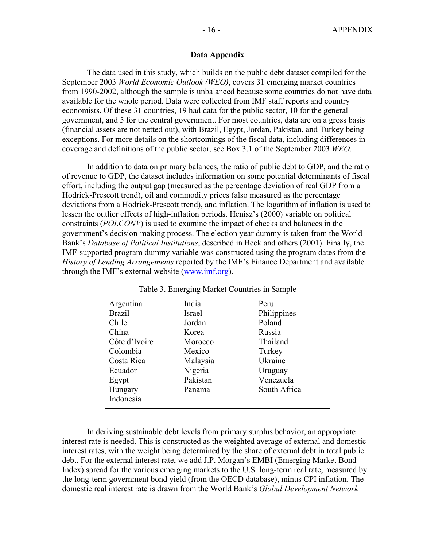#### **Data Appendix**

 The data used in this study, which builds on the public debt dataset compiled for the September 2003 *World Economic Outlook (WEO)*, covers 31 emerging market countries from 1990-2002, although the sample is unbalanced because some countries do not have data available for the whole period. Data were collected from IMF staff reports and country economists. Of these 31 countries, 19 had data for the public sector, 10 for the general government, and 5 for the central government. For most countries, data are on a gross basis (financial assets are not netted out), with Brazil, Egypt, Jordan, Pakistan, and Turkey being exceptions. For more details on the shortcomings of the fiscal data, including differences in coverage and definitions of the public sector, see Box 3.1 of the September 2003 *WEO*.

 In addition to data on primary balances, the ratio of public debt to GDP, and the ratio of revenue to GDP, the dataset includes information on some potential determinants of fiscal effort, including the output gap (measured as the percentage deviation of real GDP from a Hodrick-Prescott trend), oil and commodity prices (also measured as the percentage deviations from a Hodrick-Prescott trend), and inflation. The logarithm of inflation is used to lessen the outlier effects of high-inflation periods. Henisz's (2000) variable on political constraints (*POLCONV*) is used to examine the impact of checks and balances in the government's decision-making process. The election year dummy is taken from the World Bank's *Database of Political Institutions*, described in Beck and others (2001). Finally, the IMF-supported program dummy variable was constructed using the program dates from the *History of Lending Arrangements* reported by the IMF's Finance Department and available through the IMF's external website (www.imf.org).

| Table 3. Emerging Market Countries in Sample |          |              |  |  |
|----------------------------------------------|----------|--------------|--|--|
| Argentina                                    | India    | Peru         |  |  |
| <b>Brazil</b>                                | Israel   | Philippines  |  |  |
| Chile                                        | Jordan   | Poland       |  |  |
| China                                        | Korea    | Russia       |  |  |
| Côte d'Ivoire                                | Morocco  | Thailand     |  |  |
| Colombia                                     | Mexico   | Turkey       |  |  |
| Costa Rica                                   | Malaysia | Ukraine      |  |  |
| Ecuador                                      | Nigeria  | Uruguay      |  |  |
| Egypt                                        | Pakistan | Venezuela    |  |  |
| Hungary                                      | Panama   | South Africa |  |  |
| Indonesia                                    |          |              |  |  |

 In deriving sustainable debt levels from primary surplus behavior, an appropriate interest rate is needed. This is constructed as the weighted average of external and domestic interest rates, with the weight being determined by the share of external debt in total public debt. For the external interest rate, we add J.P. Morgan's EMBI (Emerging Market Bond Index) spread for the various emerging markets to the U.S. long-term real rate, measured by the long-term government bond yield (from the OECD database), minus CPI inflation. The domestic real interest rate is drawn from the World Bank's *Global Development Network*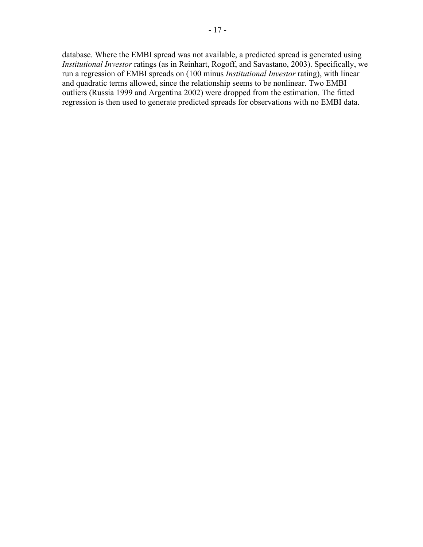database. Where the EMBI spread was not available, a predicted spread is generated using *Institutional Investor* ratings (as in Reinhart, Rogoff, and Savastano, 2003). Specifically, we run a regression of EMBI spreads on (100 minus *Institutional Investor* rating), with linear and quadratic terms allowed, since the relationship seems to be nonlinear. Two EMBI outliers (Russia 1999 and Argentina 2002) were dropped from the estimation. The fitted regression is then used to generate predicted spreads for observations with no EMBI data.